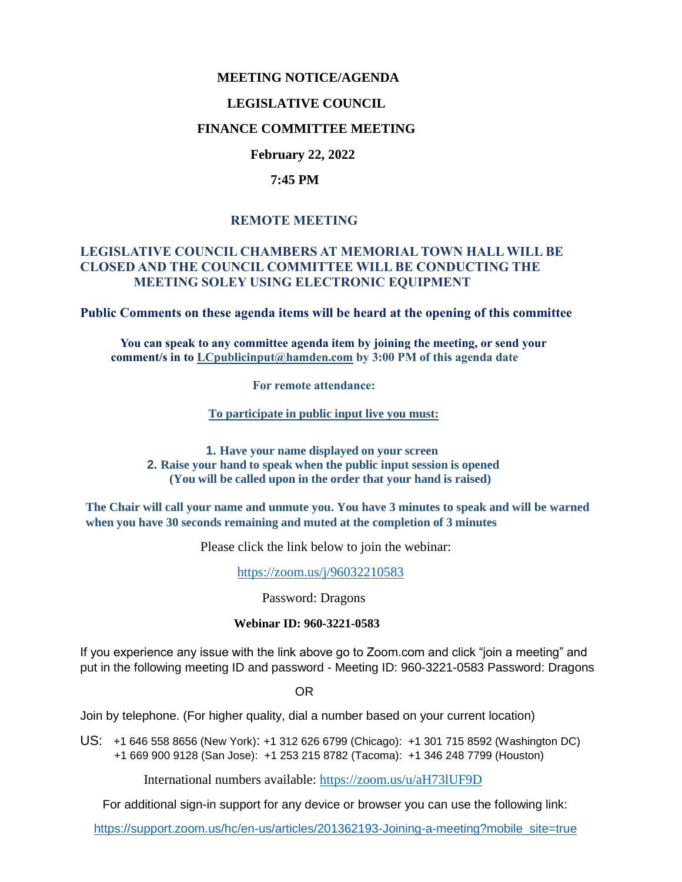### **MEETING NOTICE/AGENDA**

#### **LEGISLATIVE COUNCIL**

### **FINANCE COMMITTEE MEETING**

# **February 22, 2022**

#### **7:45 PM**

# **REMOTE MEETING**

### **LEGISLATIVE COUNCIL CHAMBERS AT MEMORIAL TOWN HALL WILL BE CLOSED AND THE COUNCIL COMMITTEE WILL BE CONDUCTING THE MEETING SOLEY USING ELECTRONIC EQUIPMENT**

**Public Comments on these agenda items will be heard at the opening of this committee** 

 **You can speak to any committee agenda item by joining the meeting, or send your comment/s in to [LCpublicinput@hamden.com](mailto:LCpublicinput@hamden.com) by 3:00 PM of this agenda date**

 **For remote attendance:**

**To participate in public input live you must:**

**1. Have your name displayed on your screen 2. Raise your hand to speak when the public input session is opened (You will be called upon in the order that your hand is raised)**

**The Chair will call your name and unmute you. You have 3 minutes to speak and will be warned when you have 30 seconds remaining and muted at the completion of 3 minutes**

Please click the link below to join the webinar:

<https://zoom.us/j/96032210583>

Password: Dragons

#### **Webinar ID: 960-3221-0583**

If you experience any issue with the link above go to Zoom.com and click "join a meeting" and put in the following meeting ID and password - Meeting ID: 960-3221-0583 Password: Dragons

OR

Join by telephone. (For higher quality, dial a number based on your current location)

US: [+1 646 558 8656 \(New York\)](tel:+16465588656): [+1 312 626 6799 \(Chicago\):](tel:+13126266799) [+1 301 715 8592 \(Washington DC\)](tel:+13017158592) +1 669 900 9128 (San Jose): [+1 253 215 8782 \(Tacoma\):](tel:+12532158782) [+1 346 248 7799 \(Houston\)](tel:+13462487799)

International numbers available:<https://zoom.us/u/aH73lUF9D>

For additional sign-in support for any device or browser you can use the following link:

[https://support.zoom.us/hc/en-us/articles/201362193-Joining-a-meeting?mobile\\_site=true](https://support.zoom.us/hc/en-us/articles/201362193-Joining-a-meeting?mobile_site=true)